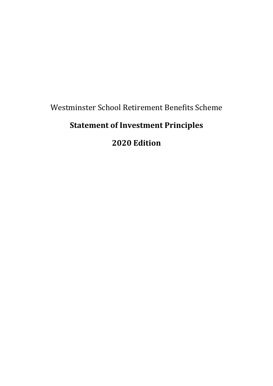Westminster School Retirement Benefits Scheme

# **Statement of Investment Principles**

# **2020 Edition**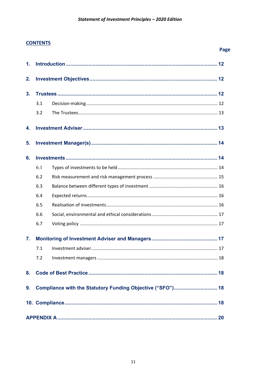## **CONTENTS**

|                |                                                            |  | Page |
|----------------|------------------------------------------------------------|--|------|
| 1.             |                                                            |  |      |
| 2.             |                                                            |  |      |
| 3 <sub>1</sub> |                                                            |  |      |
|                | 3.1                                                        |  |      |
|                | 3.2                                                        |  |      |
| 4.             |                                                            |  |      |
| 5.             |                                                            |  |      |
| 6.             |                                                            |  |      |
|                | 6.1                                                        |  |      |
|                | 6.2                                                        |  |      |
|                | 6.3                                                        |  |      |
|                | 6.4                                                        |  |      |
|                | 6.5                                                        |  |      |
|                | 6.6                                                        |  |      |
|                | 6.7                                                        |  |      |
| 7.             |                                                            |  |      |
|                | 7.1                                                        |  |      |
|                | 7.2                                                        |  |      |
| 8.             |                                                            |  |      |
| 9.             | Compliance with the Statutory Funding Objective ("SFO") 18 |  |      |
|                |                                                            |  |      |
|                |                                                            |  |      |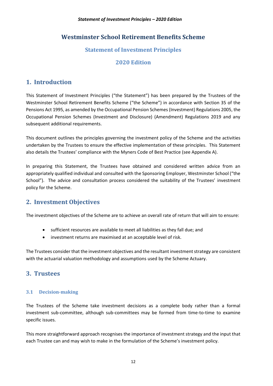# **Westminster School Retirement Benefits Scheme**

## **Statement of Investment Principles**

## **2020 Edition**

# <span id="page-2-0"></span>**1. Introduction**

This Statement of Investment Principles ("the Statement") has been prepared by the Trustees of the Westminster School Retirement Benefits Scheme ("the Scheme") in accordance with Section 35 of the Pensions Act 1995, as amended by the Occupational Pension Schemes (Investment) Regulations 2005, the Occupational Pension Schemes (Investment and Disclosure) (Amendment) Regulations 2019 and any subsequent additional requirements.

This document outlines the principles governing the investment policy of the Scheme and the activities undertaken by the Trustees to ensure the effective implementation of these principles. This Statement also details the Trustees' compliance with the Myners Code of Best Practice (see Appendix A).

In preparing this Statement, the Trustees have obtained and considered written advice from an appropriately qualified individual and consulted with the Sponsoring Employer, Westminster School ("the School"). The advice and consultation process considered the suitability of the Trustees' investment policy for the Scheme.

# <span id="page-2-1"></span>**2. Investment Objectives**

The investment objectives of the Scheme are to achieve an overall rate of return that will aim to ensure:

- sufficient resources are available to meet all liabilities as they fall due; and
- investment returns are maximised at an acceptable level of risk.

The Trustees consider that the investment objectives and the resultant investment strategy are consistent with the actuarial valuation methodology and assumptions used by the Scheme Actuary.

## <span id="page-2-2"></span>**3. Trustees**

## <span id="page-2-3"></span>**3.1 Decision-making**

The Trustees of the Scheme take investment decisions as a complete body rather than a formal investment sub-committee, although sub-committees may be formed from time-to-time to examine specific issues.

This more straightforward approach recognises the importance of investment strategy and the input that each Trustee can and may wish to make in the formulation of the Scheme's investment policy.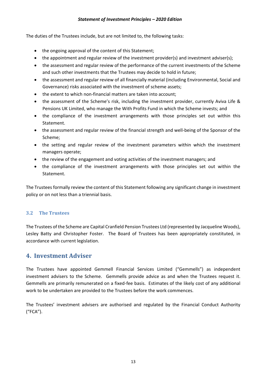#### *Statement of Investment Principles – 2020 Edition*

The duties of the Trustees include, but are not limited to, the following tasks:

- the ongoing approval of the content of this Statement;
- the appointment and regular review of the investment provider(s) and investment adviser(s);
- the assessment and regular review of the performance of the current investments of the Scheme and such other investments that the Trustees may decide to hold in future;
- the assessment and regular review of all financially material (including Environmental, Social and Governance) risks associated with the investment of scheme assets;
- the extent to which non-financial matters are taken into account;
- the assessment of the Scheme's risk, including the investment provider, currently Aviva Life & Pensions UK Limited, who manage the With Profits Fund in which the Scheme invests; and
- the compliance of the investment arrangements with those principles set out within this Statement.
- the assessment and regular review of the financial strength and well-being of the Sponsor of the Scheme;
- the setting and regular review of the investment parameters within which the investment managers operate;
- the review of the engagement and voting activities of the investment managers; and
- the compliance of the investment arrangements with those principles set out within the Statement.

The Trustees formally review the content of this Statement following any significant change in investment policy or on not less than a triennial basis.

## <span id="page-3-0"></span>**3.2 The Trustees**

The Trustees of the Scheme are Capital Cranfield Pension Trustees Ltd (represented by Jacqueline Woods), Lesley Batty and Christopher Foster. The Board of Trustees has been appropriately constituted, in accordance with current legislation.

# <span id="page-3-1"></span>**4. Investment Adviser**

The Trustees have appointed Gemmell Financial Services Limited ("Gemmells") as independent investment advisers to the Scheme. Gemmells provide advice as and when the Trustees request it. Gemmells are primarily remunerated on a fixed-fee basis. Estimates of the likely cost of any additional work to be undertaken are provided to the Trustees before the work commences.

The Trustees' investment advisers are authorised and regulated by the Financial Conduct Authority ("FCA").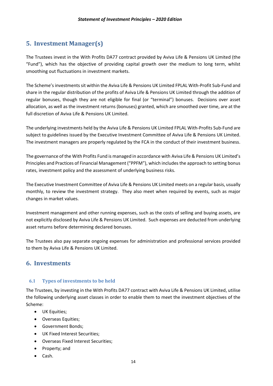# <span id="page-4-0"></span>**5. Investment Manager(s)**

The Trustees invest in the With Profits DA77 contract provided by Aviva Life & Pensions UK Limited (the "Fund"), which has the objective of providing capital growth over the medium to long term, whilst smoothing out fluctuations in investment markets.

The Scheme's investments sit within the Aviva Life & Pensions UK Limited FPLAL With-Profit Sub-Fund and share in the regular distribution of the profits of Aviva Life & Pensions UK Limited through the addition of regular bonuses, though they are not eligible for final (or "terminal") bonuses. Decisions over asset allocation, as well as the investment returns (bonuses) granted, which are smoothed over time, are at the full discretion of Aviva Life & Pensions UK Limited.

The underlying investments held by the Aviva Life & Pensions UK Limited FPLAL With-Profits Sub-Fund are subject to guidelines issued by the Executive Investment Committee of Aviva Life & Pensions UK Limited. The investment managers are properly regulated by the FCA in the conduct of their investment business.

The governance of the With Profits Fund is managed in accordance with Aviva Life & Pensions UK Limited's Principles and Practices of Financial Management ("PPFM"), which includes the approach to setting bonus rates, investment policy and the assessment of underlying business risks.

The Executive Investment Committee of Aviva Life & Pensions UK Limited meets on a regular basis, usually monthly, to review the investment strategy. They also meet when required by events, such as major changes in market values.

Investment management and other running expenses, such as the costs of selling and buying assets, are not explicitly disclosed by Aviva Life & Pensions UK Limited. Such expenses are deducted from underlying asset returns before determining declared bonuses.

The Trustees also pay separate ongoing expenses for administration and professional services provided to them by Aviva Life & Pensions UK Limited.

# <span id="page-4-1"></span>**6. Investments**

## <span id="page-4-2"></span>**6.1 Types of investments to be held**

The Trustees, by investing in the With Profits DA77 contract with Aviva Life & Pensions UK Limited, utilise the following underlying asset classes in order to enable them to meet the investment objectives of the Scheme:

- UK Equities;
- Overseas Equities;
- Government Bonds;
- UK Fixed Interest Securities;
- Overseas Fixed Interest Securities;
- Property; and
- Cash.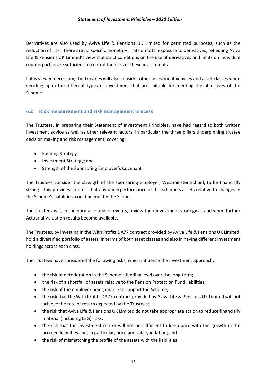Derivatives are also used by Aviva Life & Pensions UK Limited for permitted purposes, such as the reduction of risk. There are no specific monetary limits on total exposure to derivatives, reflecting Aviva Life & Pensions UK Limited's view that strict conditions on the use of derivatives and limits on individual counterparties are sufficient to control the risks of these investments.

If it is viewed necessary, the Trustees will also consider other investment vehicles and asset classes when deciding upon the different types of investment that are suitable for meeting the objectives of the Scheme.

## <span id="page-5-0"></span>**6.2 Risk measurement and risk management process**

The Trustees, in preparing their Statement of Investment Principles, have had regard to both written investment advice as well as other relevant factors, in particular the three pillars underpinning trustee decision making and risk management, covering:

- Funding Strategy
- Investment Strategy; and
- Strength of the Sponsoring Employer's Covenant

The Trustees consider the strength of the sponsoring employer, Westminster School, to be financially strong. This provides comfort that any underperformance of the Scheme's assets relative to changes in the Scheme's liabilities, could be met by the School.

The Trustees will, in the normal course of events, review their investment strategy as and when further Actuarial Valuation results become available.

The Trustees, by investing in the With Profits DA77 contract provided by Aviva Life & Pensions UK Limited, hold a diversified portfolio of assets, in terms of both asset classes and also in having different investment holdings across each class.

The Trustees have considered the following risks, which influence the investment approach:

- the risk of deterioration in the Scheme's funding level over the long-term;
- the risk of a shortfall of assets relative to the Pension Protection Fund liabilities;
- the risk of the employer being unable to support the Scheme;
- the risk that the With Profits DA77 contract provided by Aviva Life & Pensions UK Limited will not achieve the rate of return expected by the Trustees;
- the risk that Aviva Life & Pensions UK Limited do not take appropriate action to reduce financially material (including ESG) risks;
- the risk that the investment return will not be sufficient to keep pace with the growth in the accrued liabilities and, in particular, price and salary inflation; and
- the risk of mismatching the profile of the assets with the liabilities.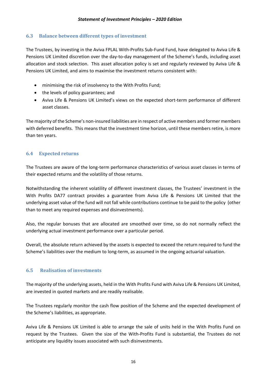## <span id="page-6-0"></span>**6.3 Balance between different types of investment**

The Trustees, by investing in the Aviva FPLAL With-Profits Sub-Fund Fund, have delegated to Aviva Life & Pensions UK Limited discretion over the day-to-day management of the Scheme's funds, including asset allocation and stock selection. This asset allocation policy is set and regularly reviewed by Aviva Life & Pensions UK Limited, and aims to maximise the investment returns consistent with:

- minimising the risk of insolvency to the With Profits Fund;
- the levels of policy guarantees; and
- Aviva Life & Pensions UK Limited's views on the expected short-term performance of different asset classes.

The majority of the Scheme's non-insured liabilities are in respect of active members and former members with deferred benefits. This means that the investment time horizon, until these members retire, is more than ten years.

## <span id="page-6-1"></span>**6.4 Expected returns**

The Trustees are aware of the long-term performance characteristics of various asset classes in terms of their expected returns and the volatility of those returns.

Notwithstanding the inherent volatility of different investment classes, the Trustees' investment in the With Profits DA77 contract provides a guarantee from Aviva Life & Pensions UK Limited that the underlying asset value of the fund will not fall while contributions continue to be paid to the policy (other than to meet any required expenses and disinvestments).

Also, the regular bonuses that are allocated are smoothed over time, so do not normally reflect the underlying actual investment performance over a particular period.

Overall, the absolute return achieved by the assets is expected to exceed the return required to fund the Scheme's liabilities over the medium to long-term, as assumed in the ongoing actuarial valuation.

## <span id="page-6-2"></span>**6.5 Realisation of investments**

The majority of the underlying assets, held in the With Profits Fund with Aviva Life & Pensions UK Limited, are invested in quoted markets and are readily realisable.

The Trustees regularly monitor the cash flow position of the Scheme and the expected development of the Scheme's liabilities, as appropriate.

Aviva Life & Pensions UK Limited is able to arrange the sale of units held in the With Profits Fund on request by the Trustees. Given the size of the With-Profits Fund is substantial, the Trustees do not anticipate any liquidity issues associated with such disinvestments.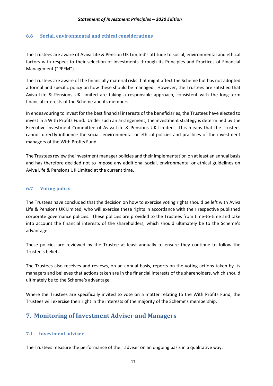#### <span id="page-7-0"></span>**6.6 Social, environmental and ethical considerations**

The Trustees are aware of Aviva Life & Pension UK Limited's attitude to social, environmental and ethical factors with respect to their selection of investments through its Principles and Practices of Financial Management ("PPFM").

The Trustees are aware of the financially material risks that might affect the Scheme but has not adopted a formal and specific policy on how these should be managed. However, the Trustees are satisfied that Aviva Life & Pensions UK Limited are taking a responsible approach, consistent with the long-term financial interests of the Scheme and its members.

In endeavouring to invest for the best financial interests of the beneficiaries, the Trustees have elected to invest in a With Profits Fund. Under such an arrangement, the investment strategy is determined by the Executive Investment Committee of Aviva Life & Pensions UK Limited. This means that the Trustees cannot directly influence the social, environmental or ethical policies and practices of the investment managers of the With Profits Fund.

The Trustees review the investment manager policies and their implementation on at least an annual basis and has therefore decided not to impose any additional social, environmental or ethical guidelines on Aviva Life & Pensions UK Limited at the current time.

#### <span id="page-7-1"></span>**6.7 Voting policy**

The Trustees have concluded that the decision on how to exercise voting rights should be left with Aviva Life & Pensions UK Limited, who will exercise these rights in accordance with their respective published corporate governance policies. These policies are provided to the Trustees from time-to-time and take into account the financial interests of the shareholders, which should ultimately be to the Scheme's advantage.

These policies are reviewed by the Trustee at least annually to ensure they continue to follow the Trustee's beliefs.

The Trustees also receives and reviews, on an annual basis, reports on the voting actions taken by its managers and believes that actions taken are in the financial interests of the shareholders, which should ultimately be to the Scheme's advantage.

Where the Trustees are specifically invited to vote on a matter relating to the With Profits Fund, the Trustees will exercise their right in the interests of the majority of the Scheme's membership.

# <span id="page-7-2"></span>**7. Monitoring of Investment Adviser and Managers**

## <span id="page-7-3"></span>**7.1 Investment adviser**

The Trustees measure the performance of their adviser on an ongoing basis in a qualitative way.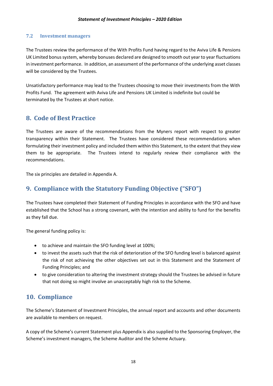## <span id="page-8-0"></span>**7.2 Investment managers**

The Trustees review the performance of the With Profits Fund having regard to the Aviva Life & Pensions UK Limited bonus system, whereby bonuses declared are designed to smooth out year to year fluctuations in investment performance. In addition, an assessment of the performance of the underlying asset classes will be considered by the Trustees.

Unsatisfactory performance may lead to the Trustees choosing to move their investments from the With Profits Fund. The agreement with Aviva Life and Pensions UK Limited is indefinite but could be terminated by the Trustees at short notice.

# <span id="page-8-1"></span>**8. Code of Best Practice**

The Trustees are aware of the recommendations from the Myners report with respect to greater transparency within their Statement. The Trustees have considered these recommendations when formulating their investment policy and included them within this Statement, to the extent that they view them to be appropriate. The Trustees intend to regularly review their compliance with the recommendations.

The six principles are detailed in Appendix A.

# <span id="page-8-2"></span>**9. Compliance with the Statutory Funding Objective ("SFO")**

The Trustees have completed their Statement of Funding Principles in accordance with the SFO and have established that the School has a strong covenant, with the intention and ability to fund for the benefits as they fall due.

The general funding policy is:

- to achieve and maintain the SFO funding level at 100%;
- to invest the assets such that the risk of deterioration of the SFO funding level is balanced against the risk of not achieving the other objectives set out in this Statement and the Statement of Funding Principles; and
- to give consideration to altering the investment strategy should the Trustees be advised in future that not doing so might involve an unacceptably high risk to the Scheme.

# <span id="page-8-3"></span>**10. Compliance**

The Scheme's Statement of Investment Principles, the annual report and accounts and other documents are available to members on request.

A copy of the Scheme's current Statement plus Appendix is also supplied to the Sponsoring Employer, the Scheme's investment managers, the Scheme Auditor and the Scheme Actuary.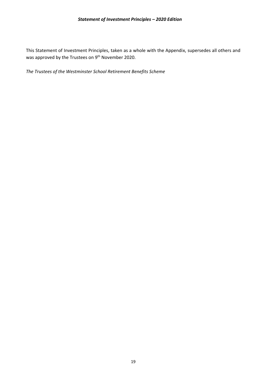This Statement of Investment Principles, taken as a whole with the Appendix, supersedes all others and was approved by the Trustees on 9<sup>th</sup> November 2020.

*The Trustees of the Westminster School Retirement Benefits Scheme*